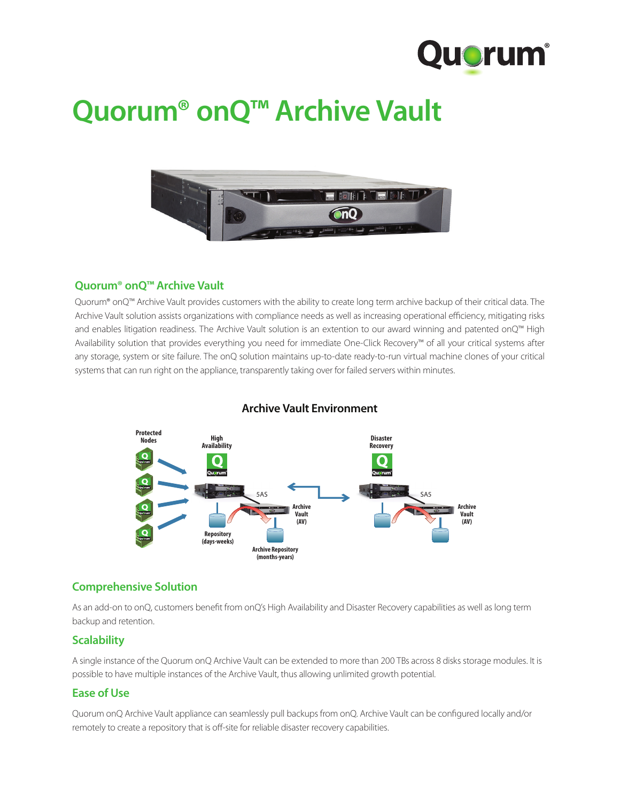

# **Quorum® onQ™ Archive Vault**



## **Quorum® onQ™ Archive Vault**

Quorum® onQ™ Archive Vault provides customers with the ability to create long term archive backup of their critical data. The Archive Vault solution assists organizations with compliance needs as well as increasing operational efficiency, mitigating risks and enables litigation readiness. The Archive Vault solution is an extention to our award winning and patented onQ™ High Availability solution that provides everything you need for immediate One-Click Recovery™ of all your critical systems after any storage, system or site failure. The onQ solution maintains up-to-date ready-to-run virtual machine clones of your critical systems that can run right on the appliance, transparently taking over for failed servers within minutes.



## **Archive Vault Environment**

## **Comprehensive Solution**

As an add-on to onQ, customers benefit from onQ's High Availability and Disaster Recovery capabilities as well as long term backup and retention.

## **Scalability**

A single instance of the Quorum onQ Archive Vault can be extended to more than 200 TBs across 8 disks storage modules. It is possible to have multiple instances of the Archive Vault, thus allowing unlimited growth potential.

## **Ease of Use**

Quorum onQ Archive Vault appliance can seamlessly pull backups from onQ. Archive Vault can be configured locally and/or remotely to create a repository that is off-site for reliable disaster recovery capabilities.